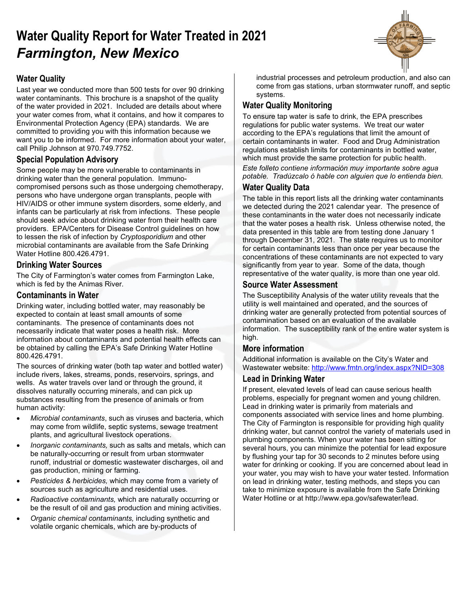# **Water Quality Report for Water Treated in 2021** *Farmington, New Mexico*

## **Water Quality**

Last year we conducted more than 500 tests for over 90 drinking water contaminants. This brochure is a snapshot of the quality of the water provided in 2021. Included are details about where your water comes from, what it contains, and how it compares to Environmental Protection Agency (EPA) standards. We are committed to providing you with this information because we want you to be informed. For more information about your water, call Philip Johnson at 970.749.7752.

## **Special Population Advisory**

Some people may be more vulnerable to contaminants in drinking water than the general population. Immunocompromised persons such as those undergoing chemotherapy, persons who have undergone organ transplants, people with HIV/AIDS or other immune system disorders, some elderly, and infants can be particularly at risk from infections. These people should seek advice about drinking water from their health care providers. EPA/Centers for Disease Control guidelines on how to lessen the risk of infection by *Cryptosporidium* and other microbial contaminants are available from the Safe Drinking Water Hotline 800.426.4791.

## **Drinking Water Sources**

The City of Farmington's water comes from Farmington Lake, which is fed by the Animas River.

## **Contaminants in Water**

Drinking water, including bottled water, may reasonably be expected to contain at least small amounts of some contaminants. The presence of contaminants does not necessarily indicate that water poses a health risk. More information about contaminants and potential health effects can be obtained by calling the EPA's Safe Drinking Water Hotline 800.426.4791.

The sources of drinking water (both tap water and bottled water) include rivers, lakes, streams, ponds, reservoirs, springs, and wells. As water travels over land or through the ground, it dissolves naturally occurring minerals, and can pick up substances resulting from the presence of animals or from human activity:

- *Microbial contaminants*, such as viruses and bacteria, which may come from wildlife, septic systems, sewage treatment plants, and agricultural livestock operations.
- *Inorganic contaminants,* such as salts and metals, which can be naturally-occurring or result from urban stormwater runoff, industrial or domestic wastewater discharges, oil and gas production, mining or farming.
- *Pesticides & herbicides,* which may come from a variety of sources such as agriculture and residential uses.
- *Radioactive contaminants,* which are naturally occurring or be the result of oil and gas production and mining activities.
- *Organic chemical contaminants,* including synthetic and volatile organic chemicals, which are by-products of

industrial processes and petroleum production, and also can come from gas stations, urban stormwater runoff, and septic systems.

## **Water Quality Monitoring**

To ensure tap water is safe to drink, the EPA prescribes regulations for public water systems. We treat our water according to the EPA's regulations that limit the amount of certain contaminants in water. Food and Drug Administration regulations establish limits for contaminants in bottled water, which must provide the same protection for public health. *Este folleto contiene información muy importante sobre agua* 

*potable. Tradúzcalo ó hable con alguien que lo entienda bien.*

### **Water Quality Data**

The table in this report lists all the drinking water contaminants we detected during the 2021 calendar year. The presence of these contaminants in the water does not necessarily indicate that the water poses a health risk. Unless otherwise noted, the data presented in this table are from testing done January 1 through December 31, 2021. The state requires us to monitor for certain contaminants less than once per year because the concentrations of these contaminants are not expected to vary significantly from year to year. Some of the data, though representative of the water quality, is more than one year old.

### **Source Water Assessment**

The Susceptibility Analysis of the water utility reveals that the utility is well maintained and operated, and the sources of drinking water are generally protected from potential sources of contamination based on an evaluation of the available information. The susceptibility rank of the entire water system is high.

### **More information**

Additional information is available on the City's Water and Wastewater website: <http://www.fmtn.org/index.aspx?NID=308>

### **Lead in Drinking Water**

If present, elevated levels of lead can cause serious health problems, especially for pregnant women and young children. Lead in drinking water is primarily from materials and components associated with service lines and home plumbing. The City of Farmington is responsible for providing high quality drinking water, but cannot control the variety of materials used in plumbing components. When your water has been sitting for several hours, you can minimize the potential for lead exposure by flushing your tap for 30 seconds to 2 minutes before using water for drinking or cooking. If you are concerned about lead in your water, you may wish to have your water tested. Information on lead in drinking water, testing methods, and steps you can take to minimize exposure is available from the Safe Drinking Water Hotline or at http://www.epa.gov/safewater/lead.